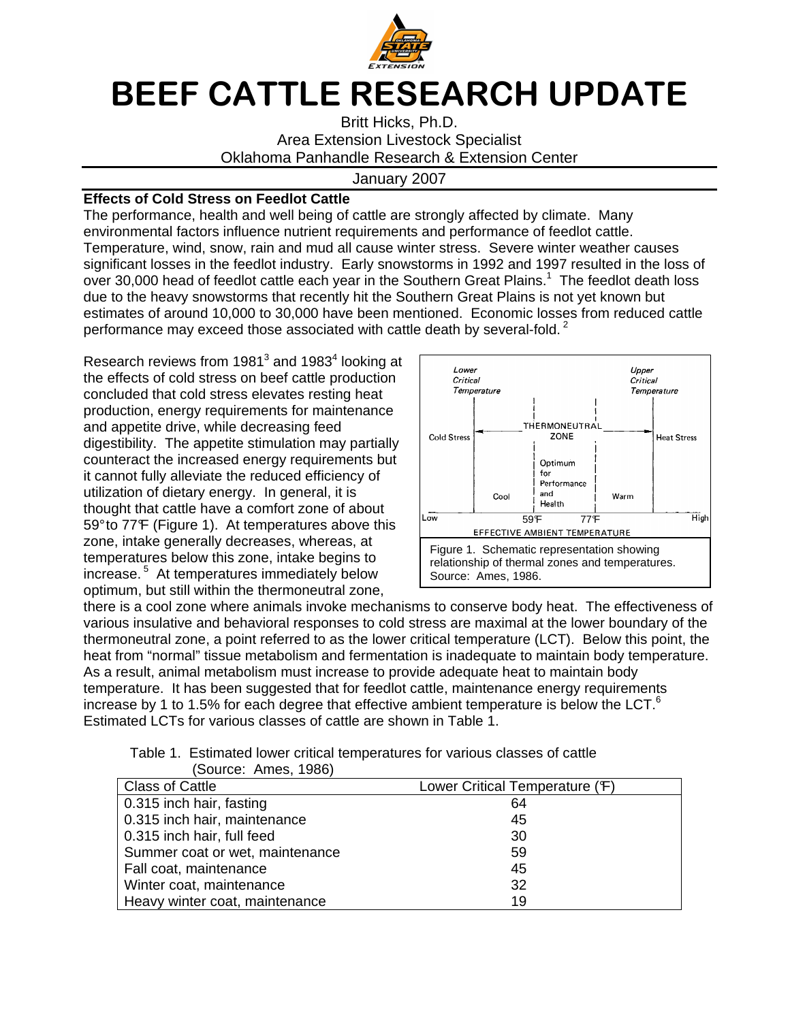

# BEEF CATTLE RESEARCH UPDATE

Britt Hicks, Ph.D. Area Extension Livestock Specialist Oklahoma Panhandle Research & Extension Center

### January 2007

## **Effects of Cold Stress on Feedlot Cattle**

The performance, health and well being of cattle are strongly affected by climate. Many environmental factors influence nutrient requirements and performance of feedlot cattle. Temperature, wind, snow, rain and mud all cause winter stress. Severe winter weather causes significant losses in the feedlot industry. Early snowstorms in 1992 and 1997 resulted in the loss of over 30,000 head of feedlot cattle each year in the Southern Great Plains.<sup>1</sup> The feedlot death loss due to the heavy snowstorms that recently hit the Southern Great Plains is not yet known but estimates of around 10,000 to 30,000 have been mentioned. Economic losses from reduced cattle performance may exceed those associated with cattle death by several-fold.<sup>2</sup>

Research reviews from 1981 $^3$  and 1983 $^4$  looking at the effects of cold stress on beef cattle production concluded that cold stress elevates resting heat production, energy requirements for maintenance and appetite drive, while decreasing feed digestibility. The appetite stimulation may partially counteract the increased energy requirements but it cannot fully alleviate the reduced efficiency of utilization of dietary energy. In general, it is thought that cattle have a comfort zone of about 59° to 77°F (Figure 1). At temperatures above this zone, intake generally decreases, whereas, at temperatures below this zone, intake begins to increase.<sup>5</sup> At temperatures immediately below optimum, but still within the thermoneutral zone,



there is a cool zone where animals invoke mechanisms to conserve body heat. The effectiveness of various insulative and behavioral responses to cold stress are maximal at the lower boundary of the thermoneutral zone, a point referred to as the lower critical temperature (LCT). Below this point, the heat from "normal" tissue metabolism and fermentation is inadequate to maintain body temperature. As a result, animal metabolism must increase to provide adequate heat to maintain body temperature. It has been suggested that for feedlot cattle, maintenance energy requirements increase by 1 to 1.5% for each degree that effective ambient temperature is below the LCT. $6$ Estimated LCTs for various classes of cattle are shown in Table 1.

| Table 1. Estimated lower critical temperatures for various classes of cattle |  |
|------------------------------------------------------------------------------|--|
| (Source: Ames, 1986)                                                         |  |

| 000100. THIOU, 10007            |                                |
|---------------------------------|--------------------------------|
| <b>Class of Cattle</b>          | Lower Critical Temperature (F) |
| 0.315 inch hair, fasting        | 64                             |
| 0.315 inch hair, maintenance    | 45                             |
| 0.315 inch hair, full feed      | 30                             |
| Summer coat or wet, maintenance | 59                             |
| Fall coat, maintenance          | 45                             |
| Winter coat, maintenance        | 32                             |
| Heavy winter coat, maintenance  | 19                             |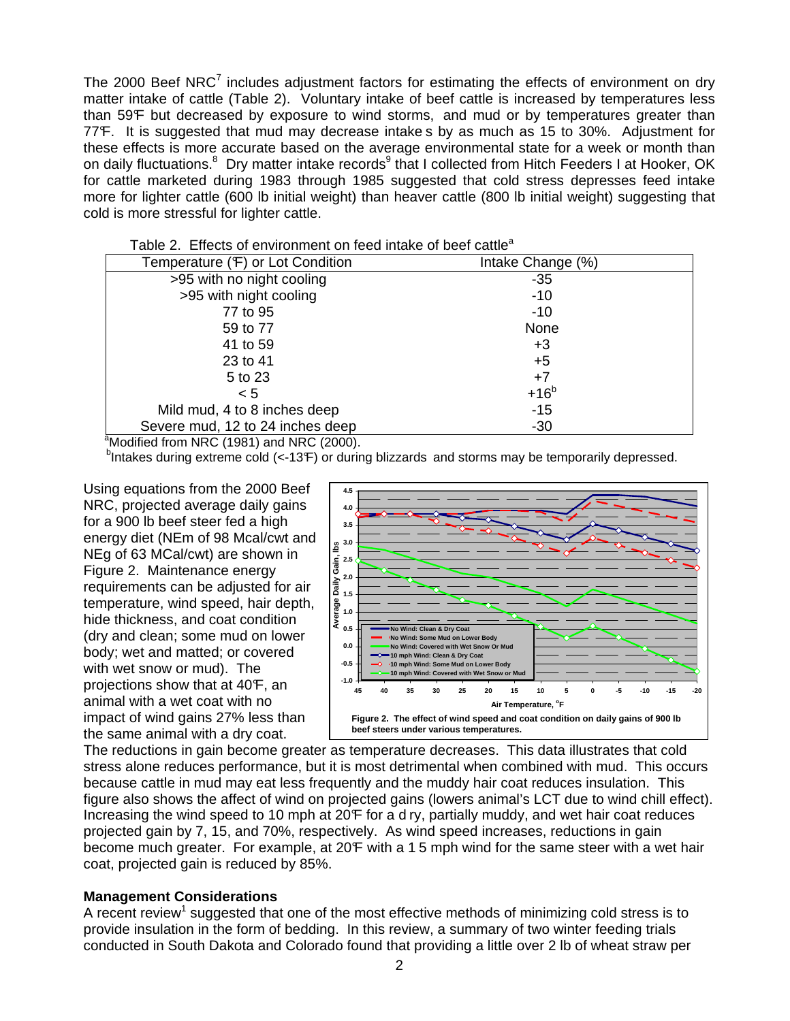The 2000 Beef NRC $<sup>7</sup>$  includes adjustment factors for estimating the effects of environment on dry</sup> matter intake of cattle (Table 2). Voluntary intake of beef cattle is increased by temperatures less than 59°F but decreased by exposure to wind storms, and mud or by temperatures greater than 77°F. It is suggested that mud may decrease intake s by as much as 15 to 30%. Adjustment for these effects is more accurate based on the average environmental state for a week or month than on daily fluctuations.<sup>8</sup> Dry matter intake records<sup>9</sup> that I collected from Hitch Feeders I at Hooker, OK for cattle marketed during 1983 through 1985 suggested that cold stress depresses feed intake more for lighter cattle (600 lb initial weight) than heaver cattle (800 lb initial weight) suggesting that cold is more stressful for lighter cattle.

| Temperature (F) or Lot Condition                                                                                                                                                                                                                                                                                                           | Intake Change (%) |
|--------------------------------------------------------------------------------------------------------------------------------------------------------------------------------------------------------------------------------------------------------------------------------------------------------------------------------------------|-------------------|
| >95 with no night cooling                                                                                                                                                                                                                                                                                                                  | -35               |
| >95 with night cooling                                                                                                                                                                                                                                                                                                                     | $-10$             |
| 77 to 95                                                                                                                                                                                                                                                                                                                                   | $-10$             |
| 59 to 77                                                                                                                                                                                                                                                                                                                                   | None              |
| 41 to 59                                                                                                                                                                                                                                                                                                                                   | $+3$              |
| 23 to 41                                                                                                                                                                                                                                                                                                                                   | $+5$              |
| 5 to 23                                                                                                                                                                                                                                                                                                                                    | $+7$              |
| < 5                                                                                                                                                                                                                                                                                                                                        | $+16b$            |
| Mild mud, 4 to 8 inches deep                                                                                                                                                                                                                                                                                                               | $-15$             |
| Severe mud, 12 to 24 inches deep                                                                                                                                                                                                                                                                                                           | $-30$             |
| a. .<br>$\mathbf{u}$ $\mathbf{v}$ $\mathbf{v}$ $\mathbf{v}$ $\mathbf{v}$ $\mathbf{v}$ $\mathbf{v}$ $\mathbf{v}$ $\mathbf{v}$ $\mathbf{v}$ $\mathbf{v}$ $\mathbf{v}$ $\mathbf{v}$ $\mathbf{v}$ $\mathbf{v}$ $\mathbf{v}$ $\mathbf{v}$ $\mathbf{v}$ $\mathbf{v}$ $\mathbf{v}$ $\mathbf{v}$ $\mathbf{v}$ $\mathbf{v}$ $\mathbf{v}$ $\mathbf{$ |                   |

Table 2. Effects of environment on feed intake of beef cattle<sup>a</sup>

 $\alpha$ Modified from NRC (1981) and NRC (2000).

<sup>b</sup>Intakes during extreme cold (<-13F) or during blizzards and storms may be temporarily depressed.

Using equations from the 2000 Beef NRC, projected average daily gains for a 900 lb beef steer fed a high energy diet (NEm of 98 Mcal/cwt and NEg of 63 MCal/cwt) are shown in Figure 2. Maintenance energy requirements can be adjusted for air temperature, wind speed, hair depth, hide thickness, and coat condition (dry and clean; some mud on lower body; wet and matted; or covered with wet snow or mud). The projections show that at 40<sup>°</sup>F, an animal with a wet coat with no impact of wind gains 27% less than the same animal with a dry coat.



The reductions in gain become greater as temperature decreases. This data illustrates that cold stress alone reduces performance, but it is most detrimental when combined with mud. This occurs because cattle in mud may eat less frequently and the muddy hair coat reduces insulation. This figure also shows the affect of wind on projected gains (lowers animal's LCT due to wind chill effect). Increasing the wind speed to 10 mph at 20F for a d ry, partially muddy, and wet hair coat reduces projected gain by 7, 15, and 70%, respectively. As wind speed increases, reductions in gain become much greater. For example, at 20°F with a 1.5 mph wind for the same steer with a wet hair coat, projected gain is reduced by 85%.

### **Management Considerations**

A recent review<sup>1</sup> suggested that one of the most effective methods of minimizing cold stress is to provide insulation in the form of bedding. In this review, a summary of two winter feeding trials conducted in South Dakota and Colorado found that providing a little over 2 lb of wheat straw per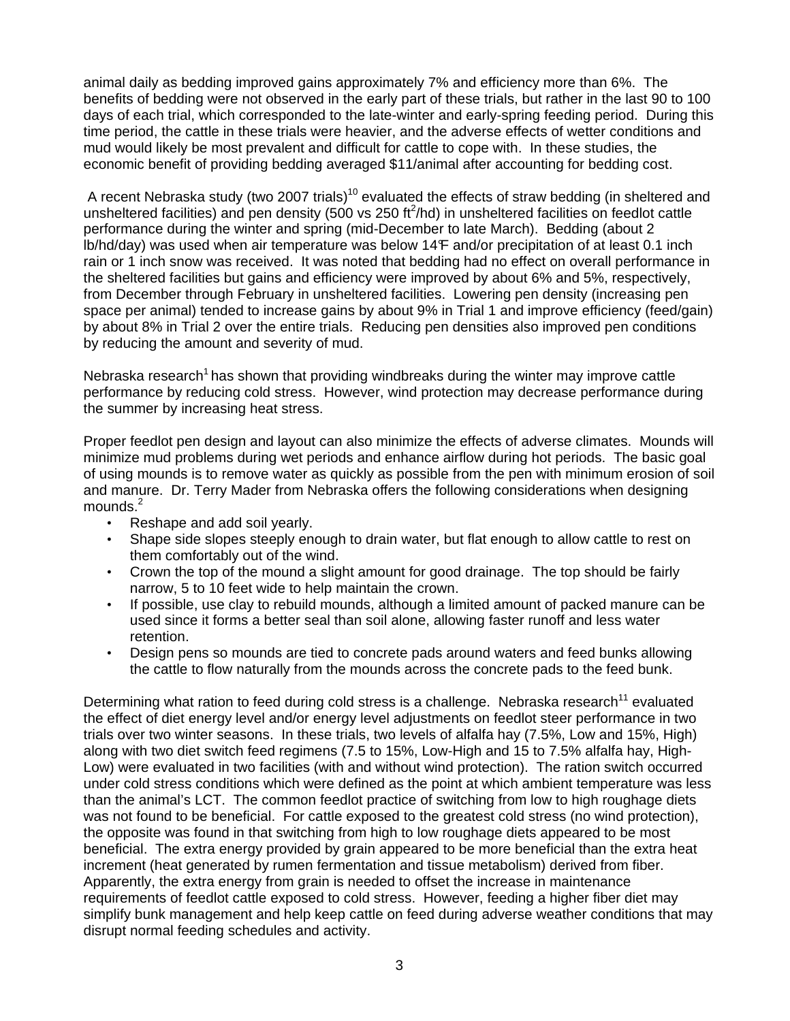animal daily as bedding improved gains approximately 7% and efficiency more than 6%. The benefits of bedding were not observed in the early part of these trials, but rather in the last 90 to 100 days of each trial, which corresponded to the late-winter and early-spring feeding period. During this time period, the cattle in these trials were heavier, and the adverse effects of wetter conditions and mud would likely be most prevalent and difficult for cattle to cope with. In these studies, the economic benefit of providing bedding averaged \$11/animal after accounting for bedding cost.

A recent Nebraska study (two 2007 trials)<sup>10</sup> evaluated the effects of straw bedding (in sheltered and unsheltered facilities) and pen density (500 vs 250  $\text{ft}^2/\text{hd}$ ) in unsheltered facilities on feedlot cattle performance during the winter and spring (mid-December to late March). Bedding (about 2 lb/hd/day) was used when air temperature was below 14F and/or precipitation of at least 0.1 inch rain or 1 inch snow was received. It was noted that bedding had no effect on overall performance in the sheltered facilities but gains and efficiency were improved by about 6% and 5%, respectively, from December through February in unsheltered facilities. Lowering pen density (increasing pen space per animal) tended to increase gains by about 9% in Trial 1 and improve efficiency (feed/gain) by about 8% in Trial 2 over the entire trials. Reducing pen densities also improved pen conditions by reducing the amount and severity of mud.

Nebraska research<sup>1</sup> has shown that providing windbreaks during the winter may improve cattle performance by reducing cold stress. However, wind protection may decrease performance during the summer by increasing heat stress.

Proper feedlot pen design and layout can also minimize the effects of adverse climates. Mounds will minimize mud problems during wet periods and enhance airflow during hot periods. The basic goal of using mounds is to remove water as quickly as possible from the pen with minimum erosion of soil and manure. Dr. Terry Mader from Nebraska offers the following considerations when designing  $m$ ounds. $<sup>2</sup>$ </sup>

- Reshape and add soil yearly.
- Shape side slopes steeply enough to drain water, but flat enough to allow cattle to rest on them comfortably out of the wind.
- Crown the top of the mound a slight amount for good drainage. The top should be fairly narrow, 5 to 10 feet wide to help maintain the crown.
- If possible, use clay to rebuild mounds, although a limited amount of packed manure can be used since it forms a better seal than soil alone, allowing faster runoff and less water retention.
- Design pens so mounds are tied to concrete pads around waters and feed bunks allowing the cattle to flow naturally from the mounds across the concrete pads to the feed bunk.

Determining what ration to feed during cold stress is a challenge. Nebraska research<sup>11</sup> evaluated the effect of diet energy level and/or energy level adjustments on feedlot steer performance in two trials over two winter seasons. In these trials, two levels of alfalfa hay (7.5%, Low and 15%, High) along with two diet switch feed regimens (7.5 to 15%, Low-High and 15 to 7.5% alfalfa hay, High-Low) were evaluated in two facilities (with and without wind protection). The ration switch occurred under cold stress conditions which were defined as the point at which ambient temperature was less than the animal's LCT. The common feedlot practice of switching from low to high roughage diets was not found to be beneficial. For cattle exposed to the greatest cold stress (no wind protection), the opposite was found in that switching from high to low roughage diets appeared to be most beneficial. The extra energy provided by grain appeared to be more beneficial than the extra heat increment (heat generated by rumen fermentation and tissue metabolism) derived from fiber. Apparently, the extra energy from grain is needed to offset the increase in maintenance requirements of feedlot cattle exposed to cold stress. However, feeding a higher fiber diet may simplify bunk management and help keep cattle on feed during adverse weather conditions that may disrupt normal feeding schedules and activity.